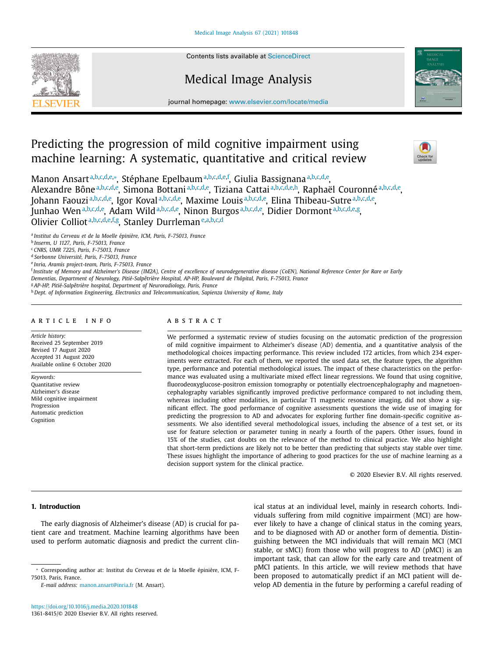

Contents lists available at [ScienceDirect](http://www.ScienceDirect.com)

# Medical Image Analysis



journal homepage: [www.elsevier.com/locate/media](http://www.elsevier.com/locate/media)

# Predicting the progression of mild cognitive impairment using machine learning: A systematic, quantitative and critical review



Manon Ansartª,b,c,d,e,\*, Stéphane Epelbaum<sup>a,b,c,d,e,f</sup>, Giulia Bassignana<sup>a,b,c,d,e</sup>, Alexandre Bône<sup>a,b,c,d,e</sup>, Simona Bottani<sup>a,b,c,d,e</sup>, Tiziana Cattai<sup>a,b,c,d,e,h</sup>, Raphaël Couronné<sup>a,b,c,d,e</sup>, Johann Faouzia,b,c,d,e, Igor Kovala,b,c,d,e, Maxime Louisa,b,c,d,e, Elina Thibeau-Sutrea,b,c,d,e, Junhao Wen<sup>a,b,c,d,e</sup>, Adam Wild<sup>a,b,c,d,e</sup>, Ninon Burgos<sup>a,b,c,d,e</sup>, Didier Dormont<sup>a,b,c,d,e,g</sup>, Olivier Colliot<sup>a,b,c,d,e,f,g</sup>, Stanley Durrleman<sup>e,a,b,c,d</sup>

<sup>a</sup> *Institut du Cerveau et de la Moelle épinière, ICM, Paris, F-75013, France*

<sup>b</sup> *Inserm, U 1127, Paris, F-75013, France*

<sup>c</sup> *CNRS, UMR 7225, Paris, F-75013, France*

<sup>d</sup> *Sorbonne Université, Paris, F-75013, France*

<sup>e</sup> *Inria, Aramis project-team, Paris, F-75013, France*

<sup>f</sup> Institute of Memory and Alzheimer's Disease (IM2A), Centre of excellence of neurodegenerative disease (CoEN), National Reference Center for Rare or Early

*Dementias, Department of Neurology, Pitié-Salpêtrière Hospital, AP-HP, Boulevard de l'hôpital, Paris, F-75013, France*

<sup>g</sup> *AP-HP, Pitié-Salpêtrière hospital, Department of Neuroradiology, Paris, France*

<sup>h</sup> *Dept. of Information Engineering, Electronics and Telecommunication, Sapienza University of Rome, Italy*

# a r t i c l e i n f o

*Article history:* Received 25 September 2019 Revised 17 August 2020 Accepted 31 August 2020 Available online 6 October 2020

*Keywords:* Quantitative review Alzheimer's disease Mild cognitive impairment **Progression** Automatic prediction Cognition

# A B S T R A C T

We performed a systematic review of studies focusing on the automatic prediction of the progression of mild cognitive impairment to Alzheimer's disease (AD) dementia, and a quantitative analysis of the methodological choices impacting performance. This review included 172 articles, from which 234 experiments were extracted. For each of them, we reported the used data set, the feature types, the algorithm type, performance and potential methodological issues. The impact of these characteristics on the performance was evaluated using a multivariate mixed effect linear regressions. We found that using cognitive, fluorodeoxyglucose-positron emission tomography or potentially electroencephalography and magnetoencephalography variables significantly improved predictive performance compared to not including them, whereas including other modalities, in particular T1 magnetic resonance imaging, did not show a significant effect. The good performance of cognitive assessments questions the wide use of imaging for predicting the progression to AD and advocates for exploring further fine domain-specific cognitive assessments. We also identified several methodological issues, including the absence of a test set, or its use for feature selection or parameter tuning in nearly a fourth of the papers. Other issues, found in 15% of the studies, cast doubts on the relevance of the method to clinical practice. We also highlight that short-term predictions are likely not to be better than predicting that subjects stay stable over time. These issues highlight the importance of adhering to good practices for the use of machine learning as a decision support system for the clinical practice.

© 2020 Elsevier B.V. All rights reserved.

# **1. Introduction**

The early diagnosis of Alzheimer's disease (AD) is crucial for patient care and treatment. Machine learning algorithms have been used to perform automatic diagnosis and predict the current clin-

ical status at an individual level, mainly in research cohorts. Individuals suffering from mild cognitive impairment (MCI) are however likely to have a change of clinical status in the coming years, and to be diagnosed with AD or another form of dementia. Distinguishing between the MCI individuals that will remain MCI (MCI stable, or sMCI) from those who will progress to AD (pMCI) is an important task, that can allow for the early care and treatment of pMCI patients. In this article, we will review methods that have been proposed to automatically predict if an MCI patient will develop AD dementia in the future by performing a careful reading of

<sup>∗</sup> Corresponding author at: Institut du Cerveau et de la Moelle épinière, ICM, F-75013, Paris, France.

*E-mail address:* [manon.ansart@inria.fr](mailto:manon.ansart@inria.fr) (M. Ansart).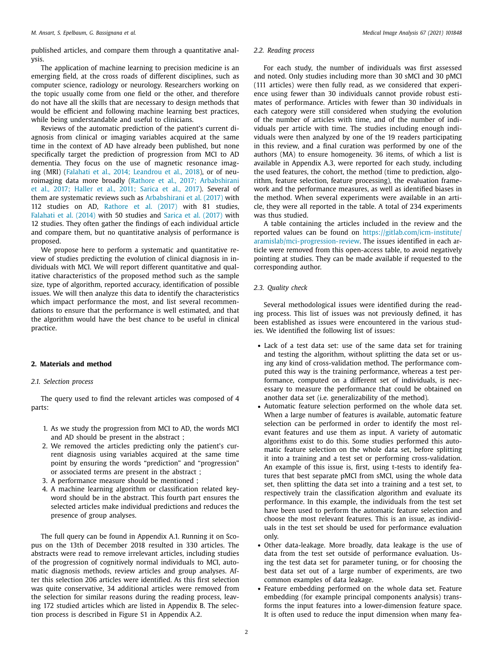<span id="page-1-0"></span>published articles, and compare them through a quantitative analysis.

The application of machine learning to precision medicine is an emerging field, at the cross roads of different disciplines, such as computer science, radiology or neurology. Researchers working on the topic usually come from one field or the other, and therefore do not have all the skills that are necessary to design methods that would be efficient and following machine learning best practices, while being understandable and useful to clinicians.

Reviews of the automatic prediction of the patient's current diagnosis from clinical or imaging variables acquired at the same time in the context of AD have already been published, but none specifically target the prediction of progression from MCI to AD dementia. They focus on the use of magnetic resonance imaging (MRI) (Falahati et al., 2014; [Leandrou](#page-9-0) et al., 2018), or of neuroimaging data more broadly (Rathore et al., 2017; [Arbabshirani](#page-10-0) et al., 2017; Haller et al., 2011; Sarica et al., 2017). Several of them are systematic reviews such as [Arbabshirani](#page-9-0) et al. (2017) with 112 studies on AD, [Rathore](#page-10-0) et al. (2017) with 81 studies, [Falahati](#page-9-0) et al. (2014) with 50 studies and Sarica et al. [\(2017\)](#page-10-0) with 12 studies. They often gather the findings of each individual article and compare them, but no quantitative analysis of performance is proposed.

We propose here to perform a systematic and quantitative review of studies predicting the evolution of clinical diagnosis in individuals with MCI. We will report different quantitative and qualitative characteristics of the proposed method such as the sample size, type of algorithm, reported accuracy, identification of possible issues. We will then analyze this data to identify the characteristics which impact performance the most, and list several recommendations to ensure that the performance is well estimated, and that the algorithm would have the best chance to be useful in clinical practice.

# **2. Materials and method**

## *2.1. Selection process*

The query used to find the relevant articles was composed of 4 parts:

- 1. As we study the progression from MCI to AD, the words MCI and AD should be present in the abstract ;
- 2. We removed the articles predicting only the patient's current diagnosis using variables acquired at the same time point by ensuring the words "prediction" and "progression" or associated terms are present in the abstract ;
- 3. A performance measure should be mentioned ;
- 4. A machine learning algorithm or classification related keyword should be in the abstract. This fourth part ensures the selected articles make individual predictions and reduces the presence of group analyses.

The full query can be found in Appendix A.1. Running it on Scopus on the 13th of December 2018 resulted in 330 articles. The abstracts were read to remove irrelevant articles, including studies of the progression of cognitively normal individuals to MCI, automatic diagnosis methods, review articles and group analyses. After this selection 206 articles were identified. As this first selection was quite conservative, 34 additional articles were removed from the selection for similar reasons during the reading process, leaving 172 studied articles which are listed in Appendix B. The selection process is described in Figure S1 in Appendix A.2.

## *2.2. Reading process*

For each study, the number of individuals was first assessed and noted. Only studies including more than 30 sMCI and 30 pMCI (111 articles) were then fully read, as we considered that experience using fewer than 30 individuals cannot provide robust estimates of performance. Articles with fewer than 30 individuals in each category were still considered when studying the evolution of the number of articles with time, and of the number of individuals per article with time. The studies including enough individuals were then analyzed by one of the 19 readers participating in this review, and a final curation was performed by one of the authors (MA) to ensure homogeneity. 36 items, of which a list is available in Appendix A.3, were reported for each study, including the used features, the cohort, the method (time to prediction, algorithm, feature selection, feature processing), the evaluation framework and the performance measures, as well as identified biases in the method. When several experiments were available in an article, they were all reported in the table. A total of 234 experiments was thus studied.

A table containing the articles included in the review and the reported values can be found on https://gitlab.com/icm-institute/ [aramislab/mci-progression-review.](https://gitlab.com/icm-institute/aramislab/mci-progression-review) The issues identified in each article were removed from this open-access table, to avoid negatively pointing at studies. They can be made available if requested to the corresponding author.

## *2.3. Quality check*

Several methodological issues were identified during the reading process. This list of issues was not previously defined, it has been established as issues were encountered in the various studies. We identified the following list of issues:

- Lack of a test data set: use of the same data set for training and testing the algorithm, without splitting the data set or using any kind of cross-validation method. The performance computed this way is the training performance, whereas a test performance, computed on a different set of individuals, is necessary to measure the performance that could be obtained on another data set (i.e. generalizability of the method).
- Automatic feature selection performed on the whole data set. When a large number of features is available, automatic feature selection can be performed in order to identify the most relevant features and use them as input. A variety of automatic algorithms exist to do this. Some studies performed this automatic feature selection on the whole data set, before splitting it into a training and a test set or performing cross-validation. An example of this issue is, first, using t-tests to identify features that best separate pMCI from sMCI, using the whole data set, then splitting the data set into a training and a test set, to respectively train the classification algorithm and evaluate its performance. In this example, the individuals from the test set have been used to perform the automatic feature selection and choose the most relevant features. This is an issue, as individuals in the test set should be used for performance evaluation only.
- Other data-leakage. More broadly, data leakage is the use of data from the test set outside of performance evaluation. Using the test data set for parameter tuning, or for choosing the best data set out of a large number of experiments, are two common examples of data leakage.
- Feature embedding performed on the whole data set. Feature embedding (for example principal components analysis) transforms the input features into a lower-dimension feature space. It is often used to reduce the input dimension when many fea-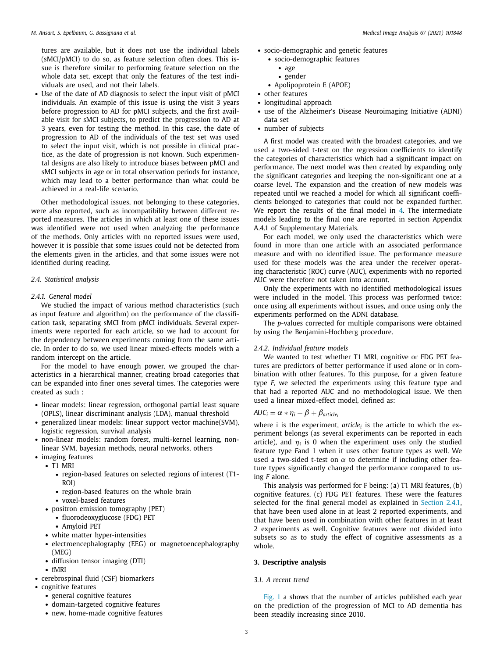<span id="page-2-0"></span>tures are available, but it does not use the individual labels (sMCI/pMCI) to do so, as feature selection often does. This issue is therefore similar to performing feature selection on the whole data set, except that only the features of the test individuals are used, and not their labels.

• Use of the date of AD diagnosis to select the input visit of pMCI individuals. An example of this issue is using the visit 3 years before progression to AD for pMCI subjects, and the first available visit for sMCI subjects, to predict the progression to AD at 3 years, even for testing the method. In this case, the date of progression to AD of the individuals of the test set was used to select the input visit, which is not possible in clinical practice, as the date of progression is not known. Such experimental designs are also likely to introduce biases between pMCI and sMCI subjects in age or in total observation periods for instance, which may lead to a better performance than what could be achieved in a real-life scenario.

Other methodological issues, not belonging to these categories, were also reported, such as incompatibility between different reported measures. The articles in which at least one of these issues was identified were not used when analyzing the performance of the methods. Only articles with no reported issues were used, however it is possible that some issues could not be detected from the elements given in the articles, and that some issues were not identified during reading.

## *2.4. Statistical analysis*

#### *2.4.1. General model*

We studied the impact of various method characteristics (such as input feature and algorithm) on the performance of the classification task, separating sMCI from pMCI individuals. Several experiments were reported for each article, so we had to account for the dependency between experiments coming from the same article. In order to do so, we used linear mixed-effects models with a random intercept on the article.

For the model to have enough power, we grouped the characteristics in a hierarchical manner, creating broad categories that can be expanded into finer ones several times. The categories were created as such :

- linear models: linear regression, orthogonal partial least square (OPLS), linear discriminant analysis (LDA), manual threshold
- generalized linear models: linear support vector machine(SVM), logistic regression, survival analysis
- non-linear models: random forest, multi-kernel learning, nonlinear SVM, bayesian methods, neural networks, others
- imaging features
	- T1 MRI
		- region-based features on selected regions of interest (T1- ROI)
		- region-based features on the whole brain
		- voxel-based features
	- positron emission tomography (PET)
		- fluorodeoxyglucose (FDG) PET
		- Amyloid PET
	- white matter hyper-intensities
	- electroencephalography (EEG) or magnetoencephalography (MEG)
	- diffusion tensor imaging (DTI)
	- fMRI
- cerebrospinal fluid (CSF) biomarkers
- cognitive features
	- general cognitive features
	- domain-targeted cognitive features
	- new, home-made cognitive features
- socio-demographic and genetic features
	- socio-demographic features
		- age
		- gender
	- Apolipoprotein E (APOE)
- other features
- longitudinal approach
- use of the Alzheimer's Disease Neuroimaging Initiative (ADNI) data set
- number of subjects

A first model was created with the broadest categories, and we used a two-sided t-test on the regression coefficients to identify the categories of characteristics which had a significant impact on performance. The next model was then created by expanding only the significant categories and keeping the non-significant one at a coarse level. The expansion and the creation of new models was repeated until we reached a model for which all significant coefficients belonged to categories that could not be expanded further. We report the results of the final model in [4.](#page-4-0) The intermediate models leading to the final one are reported in section Appendix A.4.1 of Supplementary Materials.

For each model, we only used the characteristics which were found in more than one article with an associated performance measure and with no identified issue. The performance measure used for these models was the area under the receiver operating characteristic (ROC) curve (AUC), experiments with no reported AUC were therefore not taken into account.

Only the experiments with no identified methodological issues were included in the model. This process was performed twice: once using all experiments without issues, and once using only the experiments performed on the ADNI database.

The *p*-values corrected for multiple comparisons were obtained by using the Benjamini-Hochberg procedure.

#### *2.4.2. Individual feature models*

We wanted to test whether T1 MRI, cognitive or FDG PET features are predictors of better performance if used alone or in combination with other features. To this purpose, for a given feature type *F*, we selected the experiments using this feature type and that had a reported AUC and no methodological issue. We then used a linear mixed-effect model, defined as:

# $AUC_i = \alpha * \eta_i + \beta + \beta_{article_i}$

where i is the experiment,  $article<sub>i</sub>$  is the article to which the experiment belongs (as several experiments can be reported in each article), and  $\eta_i$  is 0 when the experiment uses only the studied feature type *F*and 1 when it uses other feature types as well. We used a two-sided t-test on  $\alpha$  to determine if including other feature types significantly changed the performance compared to using *F* alone.

This analysis was performed for F being: (a) T1 MRI features, (b) cognitive features, (c) FDG PET features. These were the features selected for the final general model as explained in Section 2.4.1, that have been used alone in at least 2 reported experiments, and that have been used in combination with other features in at least 2 experiments as well. Cognitive features were not divided into subsets so as to study the effect of cognitive assessments as a whole.

## **3. Descriptive analysis**

# *3.1. A recent trend*

[Fig.](#page-3-0) 1 a shows that the number of articles published each year on the prediction of the progression of MCI to AD dementia has been steadily increasing since 2010.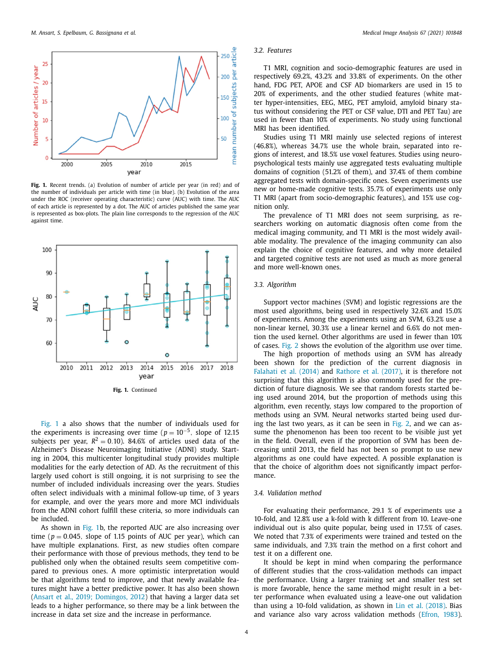<span id="page-3-0"></span>

**Fig. 1.** Recent trends. (a) Evolution of number of article per year (in red) and of the number of individuals per article with time (in blue). (b) Evolution of the area under the ROC (receiver operating characteristic) curve (AUC) with time. The AUC of each article is represented by a dot. The AUC of articles published the same year is represented as box-plots. The plain line corresponds to the regression of the AUC against time.



Fig. 1 a also shows that the number of individuals used for the experiments is increasing over time ( $p = 10^{-5}$ , slope of 12.15 subjects per year,  $R^2 = 0.10$ ). 84.6% of articles used data of the Alzheimer's Disease Neuroimaging Initiative (ADNI) study. Starting in 2004, this multicenter longitudinal study provides multiple modalities for the early detection of AD. As the recruitment of this largely used cohort is still ongoing, it is not surprising to see the number of included individuals increasing over the years. Studies often select individuals with a minimal follow-up time, of 3 years for example, and over the years more and more MCI individuals from the ADNI cohort fulfill these criteria, so more individuals can be included.

As shown in Fig. 1b, the reported AUC are also increasing over time ( $p = 0.045$ , slope of 1.15 points of AUC per year), which can have multiple explanations. First, as new studies often compare their performance with those of previous methods, they tend to be published only when the obtained results seem competitive compared to previous ones. A more optimistic interpretation would be that algorithms tend to improve, and that newly available features might have a better predictive power. It has also been shown (Ansart et al., 2019; [Domingos,](#page-9-0) 2012) that having a larger data set leads to a higher performance, so there may be a link between the increase in data set size and the increase in performance.

# *3.2. Features*

T1 MRI, cognition and socio-demographic features are used in respectively 69.2%, 43.2% and 33.8% of experiments. On the other hand, FDG PET, APOE and CSF AD biomarkers are used in 15 to 20% of experiments, and the other studied features (white matter hyper-intensities, EEG, MEG, PET amyloid, amyloid binary status without considering the PET or CSF value, DTI and PET Tau) are used in fewer than 10% of experiments. No study using functional MRI has been identified.

Studies using T1 MRI mainly use selected regions of interest (46.8%), whereas 34.7% use the whole brain, separated into regions of interest, and 18.5% use voxel features. Studies using neuropsychological tests mainly use aggregated tests evaluating multiple domains of cognition (51.2% of them), and 37.4% of them combine aggregated tests with domain-specific ones. Seven experiments use new or home-made cognitive tests. 35.7% of experiments use only T1 MRI (apart from socio-demographic features), and 15% use cognition only.

The prevalence of T1 MRI does not seem surprising, as researchers working on automatic diagnosis often come from the medical imaging community, and T1 MRI is the most widely available modality. The prevalence of the imaging community can also explain the choice of cognitive features, and why more detailed and targeted cognitive tests are not used as much as more general and more well-known ones.

#### *3.3. Algorithm*

Support vector machines (SVM) and logistic regressions are the most used algorithms, being used in respectively 32.6% and 15.0% of experiments. Among the experiments using an SVM, 63.2% use a non-linear kernel, 30.3% use a linear kernel and 6.6% do not mention the used kernel. Other algorithms are used in fewer than 10% of cases. [Fig.](#page-4-0) 2 shows the evolution of the algorithm use over time.

The high proportion of methods using an SVM has already been shown for the prediction of the current diagnosis in [Falahati](#page-9-0) et al. (2014) and [Rathore](#page-10-0) et al. (2017), it is therefore not surprising that this algorithm is also commonly used for the prediction of future diagnosis. We see that random forests started being used around 2014, but the proportion of methods using this algorithm, even recently, stays low compared to the proportion of methods using an SVM. Neural networks started being used during the last two years, as it can be seen in [Fig.](#page-4-0) 2, and we can assume the phenomenon has been too recent to be visible just yet in the field. Overall, even if the proportion of SVM has been decreasing until 2013, the field has not been so prompt to use new algorithms as one could have expected. A possible explanation is that the choice of algorithm does not significantly impact performance.

# *3.4. Validation method*

For evaluating their performance, 29.1 % of experiments use a 10-fold, and 12.8% use a k-fold with k different from 10. Leave-one individual out is also quite popular, being used in 17.5% of cases. We noted that 7.3% of experiments were trained and tested on the same individuals, and 7.3% train the method on a first cohort and test it on a different one.

It should be kept in mind when comparing the performance of different studies that the cross-validation methods can impact the performance. Using a larger training set and smaller test set is more favorable, hence the same method might result in a better performance when evaluated using a leave-one out validation than using a 10-fold validation, as shown in Lin et al. [\(2018\).](#page-10-0) Bias and variance also vary across validation methods [\(Efron,](#page-9-0) 1983).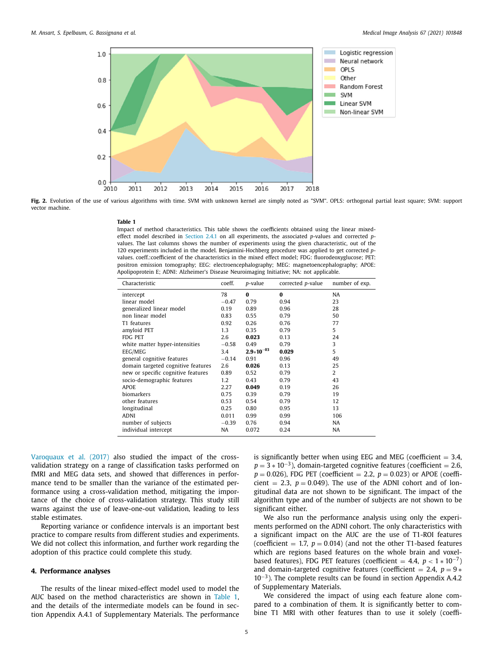<span id="page-4-0"></span>

Fig. 2. Evolution of the use of various algorithms with time. SVM with unknown kernel are simply noted as "SVM". OPLS: orthogonal partial least square; SVM: support vector machine.

#### **Table 1**

Impact of method characteristics. This table shows the coefficients obtained using the linear mixedeffect model described in [Section](#page-2-0) 2.4.1 on all experiments, the associated *p*-values and corrected *p*values. The last columns shows the number of experiments using the given characteristic, out of the 120 experiments included in the model. Benjamini-Hochberg procedure was applied to get corrected *p*values. coeff.:coefficient of the characteristics in the mixed effect model; FDG: fluorodeoxyglucose; PET: positron emission tomography; EEG: electroencephalography; MEG: magnetoencephalography; APOE: Apolipoprotein E; ADNI: Alzheimer's Disease Neuroimaging Initiative; NA: not applicable.

| 0<br>78<br>0<br>NA<br>intercept<br>linear model<br>0.79<br>0.94<br>$-0.47$<br>23<br>generalized linear model<br>0.89<br>0.96<br>0.19<br>28<br>0.83<br>0.55<br>non linear model<br>0.79<br>50<br>0.26<br>0.76<br>77<br>T1 features<br>0.92<br>5<br>amyloid PET<br>1.3<br>0.35<br>0.79<br><b>FDG PET</b><br>0.023<br>0.13<br>2.6<br>24<br>3<br>0.49<br>$-0.58$<br>0.79<br>white matter hyper-intensities<br>$2.9*10^{-03}$<br>5<br>0.029<br>EEG/MEG<br>3.4<br>0.96<br>general cognitive features<br>$-0.14$<br>0.91<br>49<br>0.026<br>domain targeted cognitive features<br>2.6<br>0.13<br>25<br>2<br>new or specific cognitive features<br>0.89<br>0.52<br>0.79<br>socio-demographic features<br>0.79<br>43<br>$1.2^{\circ}$<br>0.43<br><b>APOE</b><br>2.27<br>0.049<br>0.19<br>26<br>biomarkers<br>0.75<br>0.39<br>0.79<br>19<br>other features<br>0.53<br>0.54<br>0.79<br>12<br>0.25<br>0.95<br>13<br>0.80<br>longitudinal<br>ADNI<br>0.011<br>0.99<br>0.99<br>106<br>number of subjects<br>0.76<br>0.94<br>NA<br>$-0.39$<br>individual intercept<br>0.24<br>NA<br>NA<br>0.072 | Characteristic | coeff. | <i>p</i> -value | corrected p-value | number of exp. |
|---------------------------------------------------------------------------------------------------------------------------------------------------------------------------------------------------------------------------------------------------------------------------------------------------------------------------------------------------------------------------------------------------------------------------------------------------------------------------------------------------------------------------------------------------------------------------------------------------------------------------------------------------------------------------------------------------------------------------------------------------------------------------------------------------------------------------------------------------------------------------------------------------------------------------------------------------------------------------------------------------------------------------------------------------------------------------------|----------------|--------|-----------------|-------------------|----------------|
|                                                                                                                                                                                                                                                                                                                                                                                                                                                                                                                                                                                                                                                                                                                                                                                                                                                                                                                                                                                                                                                                                 |                |        |                 |                   |                |
|                                                                                                                                                                                                                                                                                                                                                                                                                                                                                                                                                                                                                                                                                                                                                                                                                                                                                                                                                                                                                                                                                 |                |        |                 |                   |                |
|                                                                                                                                                                                                                                                                                                                                                                                                                                                                                                                                                                                                                                                                                                                                                                                                                                                                                                                                                                                                                                                                                 |                |        |                 |                   |                |
|                                                                                                                                                                                                                                                                                                                                                                                                                                                                                                                                                                                                                                                                                                                                                                                                                                                                                                                                                                                                                                                                                 |                |        |                 |                   |                |
|                                                                                                                                                                                                                                                                                                                                                                                                                                                                                                                                                                                                                                                                                                                                                                                                                                                                                                                                                                                                                                                                                 |                |        |                 |                   |                |
|                                                                                                                                                                                                                                                                                                                                                                                                                                                                                                                                                                                                                                                                                                                                                                                                                                                                                                                                                                                                                                                                                 |                |        |                 |                   |                |
|                                                                                                                                                                                                                                                                                                                                                                                                                                                                                                                                                                                                                                                                                                                                                                                                                                                                                                                                                                                                                                                                                 |                |        |                 |                   |                |
|                                                                                                                                                                                                                                                                                                                                                                                                                                                                                                                                                                                                                                                                                                                                                                                                                                                                                                                                                                                                                                                                                 |                |        |                 |                   |                |
|                                                                                                                                                                                                                                                                                                                                                                                                                                                                                                                                                                                                                                                                                                                                                                                                                                                                                                                                                                                                                                                                                 |                |        |                 |                   |                |
|                                                                                                                                                                                                                                                                                                                                                                                                                                                                                                                                                                                                                                                                                                                                                                                                                                                                                                                                                                                                                                                                                 |                |        |                 |                   |                |
|                                                                                                                                                                                                                                                                                                                                                                                                                                                                                                                                                                                                                                                                                                                                                                                                                                                                                                                                                                                                                                                                                 |                |        |                 |                   |                |
|                                                                                                                                                                                                                                                                                                                                                                                                                                                                                                                                                                                                                                                                                                                                                                                                                                                                                                                                                                                                                                                                                 |                |        |                 |                   |                |
|                                                                                                                                                                                                                                                                                                                                                                                                                                                                                                                                                                                                                                                                                                                                                                                                                                                                                                                                                                                                                                                                                 |                |        |                 |                   |                |
|                                                                                                                                                                                                                                                                                                                                                                                                                                                                                                                                                                                                                                                                                                                                                                                                                                                                                                                                                                                                                                                                                 |                |        |                 |                   |                |
|                                                                                                                                                                                                                                                                                                                                                                                                                                                                                                                                                                                                                                                                                                                                                                                                                                                                                                                                                                                                                                                                                 |                |        |                 |                   |                |
|                                                                                                                                                                                                                                                                                                                                                                                                                                                                                                                                                                                                                                                                                                                                                                                                                                                                                                                                                                                                                                                                                 |                |        |                 |                   |                |
|                                                                                                                                                                                                                                                                                                                                                                                                                                                                                                                                                                                                                                                                                                                                                                                                                                                                                                                                                                                                                                                                                 |                |        |                 |                   |                |
|                                                                                                                                                                                                                                                                                                                                                                                                                                                                                                                                                                                                                                                                                                                                                                                                                                                                                                                                                                                                                                                                                 |                |        |                 |                   |                |
|                                                                                                                                                                                                                                                                                                                                                                                                                                                                                                                                                                                                                                                                                                                                                                                                                                                                                                                                                                                                                                                                                 |                |        |                 |                   |                |
|                                                                                                                                                                                                                                                                                                                                                                                                                                                                                                                                                                                                                                                                                                                                                                                                                                                                                                                                                                                                                                                                                 |                |        |                 |                   |                |

[Varoquaux](#page-10-0) et al. (2017) also studied the impact of the crossvalidation strategy on a range of classification tasks performed on fMRI and MEG data sets, and showed that differences in performance tend to be smaller than the variance of the estimated performance using a cross-validation method, mitigating the importance of the choice of cross-validation strategy. This study still warns against the use of leave-one-out validation, leading to less stable estimates.

Reporting variance or confidence intervals is an important best practice to compare results from different studies and experiments. We did not collect this information, and further work regarding the adoption of this practice could complete this study.

#### **4. Performance analyses**

The results of the linear mixed-effect model used to model the AUC based on the method characteristics are shown in Table 1, and the details of the intermediate models can be found in section Appendix A.4.1 of Supplementary Materials. The performance is significantly better when using EEG and MEG (coefficient  $= 3.4$ ,  $p = 3 * 10^{-3}$ ), domain-targeted cognitive features (coefficient = 2.6,  $p = 0.026$ ), FDG PET (coefficient = 2.2,  $p = 0.023$ ) or APOE (coefficient  $= 2.3$ ,  $p = 0.049$ ). The use of the ADNI cohort and of longitudinal data are not shown to be significant. The impact of the algorithm type and of the number of subjects are not shown to be significant either.

We also run the performance analysis using only the experiments performed on the ADNI cohort. The only characteristics with a significant impact on the AUC are the use of T1-ROI features (coefficient  $= 1.7$ ,  $p = 0.014$ ) (and not the other T1-based features which are regions based features on the whole brain and voxelbased features), FDG PET features (coefficient =  $4.4$ ,  $p < 1 * 10^{-7}$ ) and domain-targeted cognitive features (coefficient = 2.4,  $p = 9$   $*$  $10^{-3}$ ). The complete results can be found in section Appendix A.4.2 of Supplementary Materials.

We considered the impact of using each feature alone compared to a combination of them. It is significantly better to combine T1 MRI with other features than to use it solely (coeffi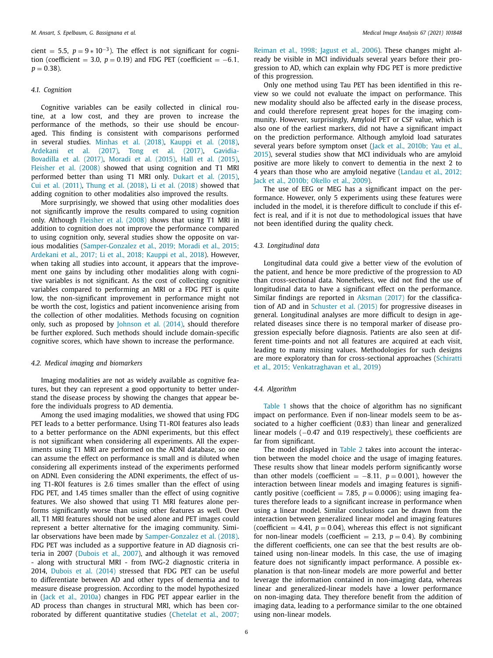cient = 5.5,  $p = 9 * 10^{-3}$ ). The effect is not significant for cognition (coefficient = 3.0,  $p = 0.19$ ) and FDG PET (coefficient =  $-6.1$ ,  $p = 0.38$ ).

# *4.1. Cognition*

Cognitive variables can be easily collected in clinical routine, at a low cost, and they are proven to increase the performance of the methods, so their use should be encouraged. This finding is consistent with comparisons performed in several studies. [Minhas](#page-10-0) et al. (2018), [Kauppi](#page-10-0) et al. (2018), [Ardekani](#page-9-0) et al. (2017), Tong et al. [\(2017\),](#page-10-0) Gavidia-[Bovadilla](#page-9-0) et al. (2017), [Moradi](#page-10-0) et al. (2015), Hall et al. [\(2015\),](#page-10-0) [Fleisher](#page-9-0) et al. (2008) showed that using cognition and T1 MRI performed better than using T1 MRI only. [Dukart](#page-9-0) et al. (2015), Cui et al. [\(2011\),](#page-9-0) Thung et al. [\(2018\),](#page-10-0) Li et al. [\(2018\)](#page-10-0) showed that adding cognition to other modalities also improved the results.

More surprisingly, we showed that using other modalities does not significantly improve the results compared to using cognition only. Although [Fleisher](#page-9-0) et al. (2008) shows that using T1 MRI in addition to cognition does not improve the performance compared to using cognition only, several studies show the opposite on various modalities [\(Samper-Gonzalez](#page-10-0) et al., 2019; Moradi et al., 2015; Ardekani et al., 2017; Li et al., 2018; Kauppi et al., 2018). However, when taking all studies into account, it appears that the improvement one gains by including other modalities along with cognitive variables is not significant. As the cost of collecting cognitive variables compared to performing an MRI or a FDG PET is quite low, the non-significant improvement in performance might not be worth the cost, logistics and patient inconvenience arising from the collection of other modalities. Methods focusing on cognition only, such as proposed by [Johnson](#page-10-0) et al. (2014), should therefore be further explored. Such methods should include domain-specific cognitive scores, which have shown to increase the performance.

#### *4.2. Medical imaging and biomarkers*

Imaging modalities are not as widely available as cognitive features, but they can represent a good opportunity to better understand the disease process by showing the changes that appear before the individuals progress to AD dementia.

Among the used imaging modalities, we showed that using FDG PET leads to a better performance. Using T1-ROI features also leads to a better performance on the ADNI experiments, but this effect is not significant when considering all experiments. All the experiments using T1 MRI are performed on the ADNI database, so one can assume the effect on performance is small and is diluted when considering all experiments instead of the experiments performed on ADNI. Even considering the ADNI experiments, the effect of using T1-ROI features is 2.6 times smaller than the effect of using FDG PET, and 1.45 times smaller than the effect of using cognitive features. We also showed that using T1 MRI features alone performs significantly worse than using other features as well. Over all, T1 MRI features should not be used alone and PET images could represent a better alternative for the imaging community. Similar observations have been made by [Samper-Gonzalez](#page-10-0) et al. (2018). FDG PET was included as a supportive feature in AD diagnosis criteria in 2007 [\(Dubois](#page-9-0) et al., 2007), and although it was removed - along with structural MRI - from IWG-2 diagnostic criteria in 2014, [Dubois](#page-9-0) et al. (2014) stressed that FDG PET can be useful to differentiate between AD and other types of dementia and to measure disease progression. According to the model hypothesized in (Jack et al., [2010a\)](#page-10-0) changes in FDG PET appear earlier in the AD process than changes in structural MRI, which has been corroborated by different quantitative studies [\(Chetelat](#page-9-0) et al., 2007;

[Reiman](#page-9-0) et al., 1998; Jagust et al., 2006). These changes might already be visible in MCI individuals several years before their progression to AD, which can explain why FDG PET is more predictive of this progression.

Only one method using Tau PET has been identified in this review so we could not evaluate the impact on performance. This new modality should also be affected early in the disease process, and could therefore represent great hopes for the imaging community. However, surprisingly, Amyloid PET or CSF value, which is also one of the earliest markers, did not have a significant impact on the prediction performance. Although amyloid load saturates several years before symptom onset (Jack et al., 2010b; Yau et al., 2015), several studies show that MCI [individuals](#page-10-0) who are amyloid positive are more likely to convert to dementia in the next 2 to 4 years than those who are amyloid [negative](#page-10-0) (Landau et al., 2012; Jack et al., 2010b; Okello et al., 2009).

The use of EEG or MEG has a significant impact on the performance. However, only 5 experiments using these features were included in the model, it is therefore difficult to conclude if this effect is real, and if it is not due to methodological issues that have not been identified during the quality check.

#### *4.3. Longitudinal data*

Longitudinal data could give a better view of the evolution of the patient, and hence be more predictive of the progression to AD than cross-sectional data. Nonetheless, we did not find the use of longitudinal data to have a significant effect on the performance. Similar findings are reported in [Aksman](#page-9-0) (2017) for the classification of AD and in [Schuster](#page-10-0) et al. (2015) for progressive diseases in general. Longitudinal analyses are more difficult to design in agerelated diseases since there is no temporal marker of disease progression especially before diagnosis. Patients are also seen at different time-points and not all features are acquired at each visit, leading to many missing values. Methodologies for such designs are more exploratory than for cross-sectional approaches (Schiratti et al., 2015; [Venkatraghavan](#page-10-0) et al., 2019)

#### *4.4. Algorithm*

[Table](#page-4-0) 1 shows that the choice of algorithm has no significant impact on performance. Even if non-linear models seem to be associated to a higher coefficient (0.83) than linear and generalized linear models (−0.47 and 0.19 respectively), these coefficients are far from significant.

The model displayed in [Table](#page-6-0) 2 takes into account the interaction between the model choice and the usage of imaging features. These results show that linear models perform significantly worse than other models (coefficient =  $-8.11$ ,  $p = 0.001$ ), however the interaction between linear models and imaging features is significantly positive (coefficient = 7.85,  $p = 0.0006$ ); using imaging features therefore leads to a significant increase in performance when using a linear model. Similar conclusions can be drawn from the interaction between generalized linear model and imaging features (coefficient  $= 4.41$ ,  $p = 0.04$ ), whereas this effect is not significant for non-linear models (coefficient  $= 2.13$ ,  $p = 0.4$ ). By combining the different coefficients, one can see that the best results are obtained using non-linear models. In this case, the use of imaging feature does not significantly impact performance. A possible explanation is that non-linear models are more powerful and better leverage the information contained in non-imaging data, whereas linear and generalized-linear models have a lower performance on non-imaging data. They therefore benefit from the addition of imaging data, leading to a performance similar to the one obtained using non-linear models.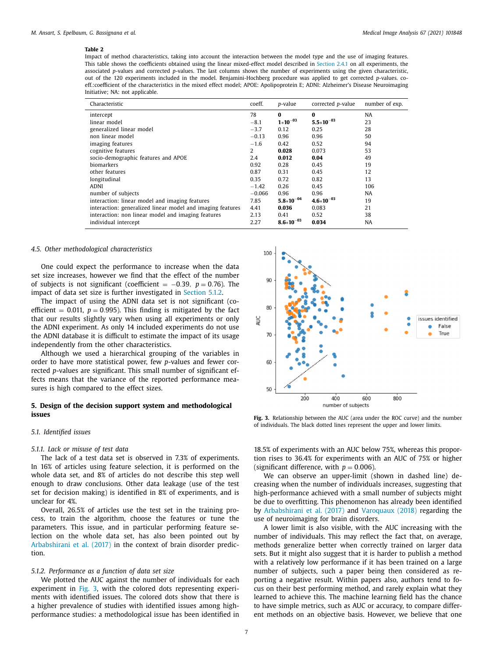#### <span id="page-6-0"></span>**Table 2**

Impact of method characteristics, taking into account the interaction between the model type and the use of imaging features. This table shows the coefficients obtained using the linear mixed-effect model described in [Section](#page-2-0) 2.4.1 on all experiments, the associated *p*-values and corrected *p*-values. The last columns shows the number of experiments using the given characteristic, out of the 120 experiments included in the model. Benjamini-Hochberg procedure was applied to get corrected *p*-values. coeff.:coefficient of the characteristics in the mixed effect model; APOE: Apolipoprotein E; ADNI: Alzheimer's Disease Neuroimaging Initiative; NA: not applicable.

| Characteristic                                             | coeff.   | p-value        | corrected <i>p</i> -value | number of exp. |
|------------------------------------------------------------|----------|----------------|---------------------------|----------------|
| intercept                                                  | 78       | $\bf{0}$       | 0                         | <b>NA</b>      |
| linear model                                               | $-8.1$   | $1*10^{-03}$   | $5.5*10^{-03}$            | 23             |
| generalized linear model                                   | $-3.7$   | 0.12           | 0.25                      | 28             |
| non linear model                                           | $-0.13$  | 0.96           | 0.96                      | 50             |
| imaging features                                           | $-1.6$   | 0.42           | 0.52                      | 94             |
| cognitive features                                         | 2        | 0.028          | 0.073                     | 53             |
| socio-demographic features and APOE                        | 2.4      | 0.012          | 0.04                      | 49             |
| <b>biomarkers</b>                                          | 0.92     | 0.28           | 0.45                      | 19             |
| other features                                             | 0.87     | 0.31           | 0.45                      | 12             |
| longitudinal                                               | 0.35     | 0.72           | 0.82                      | 13             |
| <b>ADNI</b>                                                | $-1.42$  | 0.26           | 0.45                      | 106            |
| number of subjects                                         | $-0.066$ | 0.96           | 0.96                      | NA             |
| interaction: linear model and imaging features             | 7.85     | $5.8*10^{-04}$ | $4.6*10^{-03}$            | 19             |
| interaction: generalized linear model and imaging features | 4.41     | 0.036          | 0.083                     | 21             |
| interaction: non linear model and imaging features         | 2.13     | 0.41           | 0.52                      | 38             |
| individual intercept                                       | 2.27     | $8.6*10^{-03}$ | 0.034                     | <b>NA</b>      |

## *4.5. Other methodological characteristics*

One could expect the performance to increase when the data set size increases, however we find that the effect of the number of subjects is not significant (coefficient =  $-0.39$ ,  $p = 0.76$ ). The impact of data set size is further investigated in Section 5.1.2.

The impact of using the ADNI data set is not significant (coefficient =  $0.011$ ,  $p = 0.995$ ). This finding is mitigated by the fact that our results slightly vary when using all experiments or only the ADNI experiment. As only 14 included experiments do not use the ADNI database it is difficult to estimate the impact of its usage independently from the other characteristics.

Although we used a hierarchical grouping of the variables in order to have more statistical power, few *p*-values and fewer corrected *p*-values are significant. This small number of significant effects means that the variance of the reported performance measures is high compared to the effect sizes.

# **5. Design of the decision support system and methodological issues**

#### *5.1. Identified issues*

#### *5.1.1. Lack or misuse of test data*

The lack of a test data set is observed in 7.3% of experiments. In 16% of articles using feature selection, it is performed on the whole data set, and 8% of articles do not describe this step well enough to draw conclusions. Other data leakage (use of the test set for decision making) is identified in 8% of experiments, and is unclear for 4%.

Overall, 26.5% of articles use the test set in the training process, to train the algorithm, choose the features or tune the parameters. This issue, and in particular performing feature selection on the whole data set, has also been pointed out by [Arbabshirani](#page-9-0) et al. (2017) in the context of brain disorder prediction.

#### *5.1.2. Performance as a function of data set size*

We plotted the AUC against the number of individuals for each experiment in Fig. 3, with the colored dots representing experiments with identified issues. The colored dots show that there is a higher prevalence of studies with identified issues among highperformance studies: a methodological issue has been identified in



**Fig. 3.** Relationship between the AUC (area under the ROC curve) and the number of individuals. The black dotted lines represent the upper and lower limits.

18.5% of experiments with an AUC below 75%, whereas this proportion rises to 36.4% for experiments with an AUC of 75% or higher (significant difference, with  $p = 0.006$ ).

We can observe an upper-limit (shown in dashed line) decreasing when the number of individuals increases, suggesting that high-performance achieved with a small number of subjects might be due to overfitting. This phenomenon has already been identified by [Arbabshirani](#page-9-0) et al. (2017) and [Varoquaux](#page-10-0) (2018) regarding the use of neuroimaging for brain disorders.

A lower limit is also visible, with the AUC increasing with the number of individuals. This may reflect the fact that, on average, methods generalize better when correctly trained on larger data sets. But it might also suggest that it is harder to publish a method with a relatively low performance if it has been trained on a large number of subjects, such a paper being then considered as reporting a negative result. Within papers also, authors tend to focus on their best performing method, and rarely explain what they learned to achieve this. The machine learning field has the chance to have simple metrics, such as AUC or accuracy, to compare different methods on an objective basis. However, we believe that one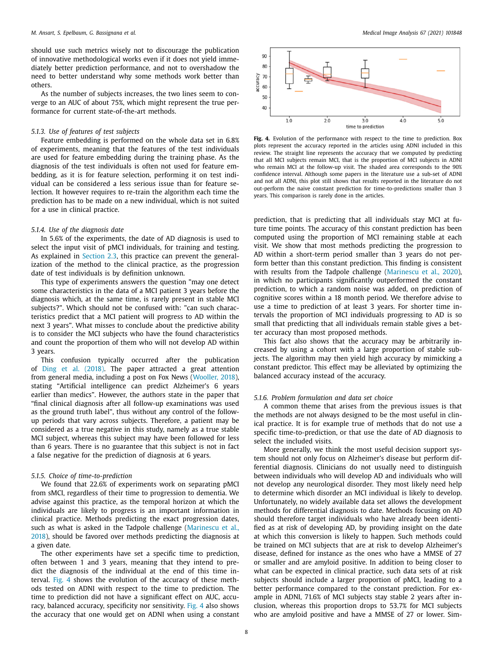should use such metrics wisely not to discourage the publication of innovative methodological works even if it does not yield immediately better prediction performance, and not to overshadow the need to better understand why some methods work better than others.

As the number of subjects increases, the two lines seem to converge to an AUC of about 75%, which might represent the true performance for current state-of-the-art methods.

#### *5.1.3. Use of features of test subjects*

Feature embedding is performed on the whole data set in 6.8% of experiments, meaning that the features of the test individuals are used for feature embedding during the training phase. As the diagnosis of the test individuals is often not used for feature embedding, as it is for feature selection, performing it on test individual can be considered a less serious issue than for feature selection. It however requires to re-train the algorithm each time the prediction has to be made on a new individual, which is not suited for a use in clinical practice.

#### *5.1.4. Use of the diagnosis date*

In 5.6% of the experiments, the date of AD diagnosis is used to select the input visit of pMCI individuals, for training and testing. As explained in [Section](#page-1-0) 2.3, this practice can prevent the generalization of the method to the clinical practice, as the progression date of test individuals is by definition unknown.

This type of experiments answers the question "may one detect some characteristics in the data of a MCI patient 3 years before the diagnosis which, at the same time, is rarely present in stable MCI subjects?". Which should not be confused with: "can such characteristics predict that a MCI patient will progress to AD within the next 3 years". What misses to conclude about the predictive ability is to consider the MCI subjects who have the found characteristics and count the proportion of them who will not develop AD within 3 years.

This confusion typically occurred after the publication of Ding et al. [\(2018\).](#page-9-0) The paper attracted a great attention from general media, including a post on Fox News [\(Wooller,](#page-10-0) 2018), stating "Artificial intelligence can predict Alzheimer's 6 years earlier than medics". However, the authors state in the paper that "final clinical diagnosis after all follow-up examinations was used as the ground truth label", thus without any control of the followup periods that vary across subjects. Therefore, a patient may be considered as a true negative in this study, namely as a true stable MCI subject, whereas this subject may have been followed for less than 6 years. There is no guarantee that this subject is not in fact a false negative for the prediction of diagnosis at 6 years.

#### *5.1.5. Choice of time-to-prediction*

We found that 22.6% of experiments work on separating pMCI from sMCI, regardless of their time to progression to dementia. We advise against this practice, as the temporal horizon at which the individuals are likely to progress is an important information in clinical practice. Methods predicting the exact progression dates, such as what is asked in the Tadpole challenge [\(Marinescu](#page-10-0) et al., 2018), should be favored over methods predicting the diagnosis at a given date.

The other experiments have set a specific time to prediction, often between 1 and 3 years, meaning that they intend to predict the diagnosis of the individual at the end of this time interval. Fig. 4 shows the evolution of the accuracy of these methods tested on ADNI with respect to the time to prediction. The time to prediction did not have a significant effect on AUC, accuracy, balanced accuracy, specificity nor sensitivity. Fig. 4 also shows the accuracy that one would get on ADNI when using a constant



**Fig. 4.** Evolution of the performance with respect to the time to prediction. Box plots represent the accuracy reported in the articles using ADNI included in this review. The straight line represents the accuracy that we computed by predicting that all MCI subjects remain MCI, that is the proportion of MCI subjects in ADNI who remain MCI at the follow-up visit. The shaded area corresponds to the 90% confidence interval. Although some papers in the literature use a sub-set of ADNI and not all ADNI, this plot still shows that results reported in the literature do not out-perform the naive constant prediction for time-to-predictions smaller than 3 years. This comparison is rarely done in the articles.

prediction, that is predicting that all individuals stay MCI at future time points. The accuracy of this constant prediction has been computed using the proportion of MCI remaining stable at each visit. We show that most methods predicting the progression to AD within a short-term period smaller than 3 years do not perform better than this constant prediction. This finding is consistent with results from the Tadpole challenge [\(Marinescu](#page-10-0) et al., 2020), in which no participants significantly outperformed the constant prediction, to which a random noise was added, on prediction of cognitive scores within a 18 month period. We therefore advise to use a time to prediction of at least 3 years. For shorter time intervals the proportion of MCI individuals progressing to AD is so small that predicting that all individuals remain stable gives a better accuracy than most proposed methods.

This fact also shows that the accuracy may be arbitrarily increased by using a cohort with a large proportion of stable subjects. The algorithm may then yield high accuracy by mimicking a constant predictor. This effect may be alleviated by optimizing the balanced accuracy instead of the accuracy.

#### *5.1.6. Problem formulation and data set choice*

A common theme that arises from the previous issues is that the methods are not always designed to be the most useful in clinical practice. It is for example true of methods that do not use a specific time-to-prediction, or that use the date of AD diagnosis to select the included visits.

More generally, we think the most useful decision support system should not only focus on Alzheimer's disease but perform differential diagnosis. Clinicians do not usually need to distinguish between individuals who will develop AD and individuals who will not develop any neurological disorder. They most likely need help to determine which disorder an MCI individual is likely to develop. Unfortunately, no widely available data set allows the development methods for differential diagnosis to date. Methods focusing on AD should therefore target individuals who have already been identified as at risk of developing AD, by providing insight on the date at which this conversion is likely to happen. Such methods could be trained on MCI subjects that are at risk to develop Alzheimer's disease, defined for instance as the ones who have a MMSE of 27 or smaller and are amyloid positive. In addition to being closer to what can be expected in clinical practice, such data sets of at risk subjects should include a larger proportion of pMCI, leading to a better performance compared to the constant prediction. For example in ADNI, 71.6% of MCI subjects stay stable 2 years after inclusion, whereas this proportion drops to 53.7% for MCI subjects who are amyloid positive and have a MMSE of 27 or lower. Sim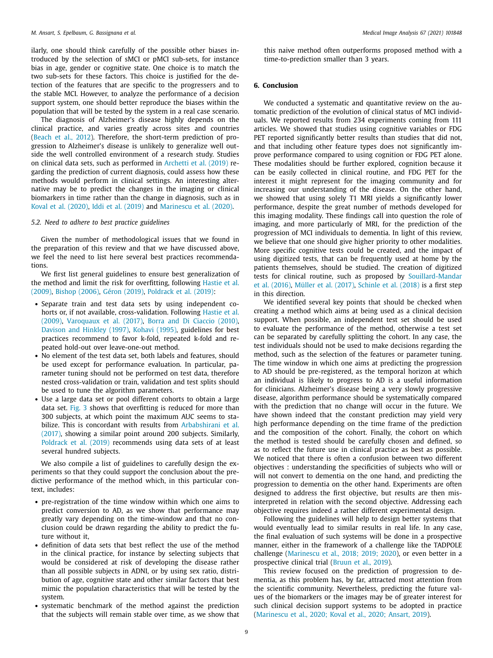ilarly, one should think carefully of the possible other biases introduced by the selection of sMCI or pMCI sub-sets, for instance bias in age, gender or cognitive state. One choice is to match the two sub-sets for these factors. This choice is justified for the detection of the features that are specific to the progressers and to the stable MCI. However, to analyze the performance of a decision support system, one should better reproduce the biases within the population that will be tested by the system in a real case scenario.

The diagnosis of Alzheimer's disease highly depends on the clinical practice, and varies greatly across sites and countries [\(Beach](#page-9-0) et al., 2012). Therefore, the short-term prediction of progression to Alzheimer's disease is unlikely to generalize well outside the well controlled environment of a research study. Studies on clinical data sets, such as performed in [Archetti](#page-9-0) et al. (2019) regarding the prediction of current diagnosis, could assess how these methods would perform in clinical settings. An interesting alternative may be to predict the changes in the imaging or clinical biomarkers in time rather than the change in diagnosis, such as in Koval et al. [\(2020\),](#page-10-0) Iddi et al. [\(2019\)](#page-10-0) and [Marinescu](#page-10-0) et al. (2020).

## *5.2. Need to adhere to best practice guidelines*

Given the number of methodological issues that we found in the preparation of this review and that we have discussed above, we feel the need to list here several best practices recommendations.

We first list general guidelines to ensure best generalization of the method and limit the risk for [overfitting,](#page-10-0) following Hastie et al. (2009), Bishop [\(2006\),](#page-9-0) Géron [\(2019\),](#page-9-0) [Poldrack](#page-10-0) et al. (2019):

- Separate train and test data sets by using independent cohorts or, if not available, [cross-validation.](#page-10-0) Following Hastie et al. (2009), [Varoquaux](#page-10-0) et al. (2017), Borra and Di [Ciaccio](#page-9-0) (2010), [Davison](#page-9-0) and Hinkley (1997), [Kohavi](#page-10-0) (1995), guidelines for best practices recommend to favor k-fold, repeated k-fold and repeated hold-out over leave-one-out method.
- No element of the test data set, both labels and features, should be used except for performance evaluation. In particular, parameter tuning should not be performed on test data, therefore nested cross-validation or train, validation and test splits should be used to tune the algorithm parameters.
- Use a large data set or pool different cohorts to obtain a large data set. [Fig.](#page-6-0) 3 shows that overfitting is reduced for more than 300 subjects, at which point the maximum AUC seems to stabilize. This is concordant with results from [Arbabshirani](#page-9-0) et al. (2017), showing a similar point around 200 subjects. Similarly, [Poldrack](#page-10-0) et al. (2019) recommends using data sets of at least several hundred subjects.

We also compile a list of guidelines to carefully design the experiments so that they could support the conclusion about the predictive performance of the method which, in this particular context, includes:

- pre-registration of the time window within which one aims to predict conversion to AD, as we show that performance may greatly vary depending on the time-window and that no conclusion could be drawn regarding the ability to predict the future without it,
- definition of data sets that best reflect the use of the method in the clinical practice, for instance by selecting subjects that would be considered at risk of developing the disease rather than all possible subjects in ADNI, or by using sex ratio, distribution of age, cognitive state and other similar factors that best mimic the population characteristics that will be tested by the system.
- systematic benchmark of the method against the prediction that the subjects will remain stable over time, as we show that

this naive method often outperforms proposed method with a time-to-prediction smaller than 3 years.

## **6. Conclusion**

We conducted a systematic and quantitative review on the automatic prediction of the evolution of clinical status of MCI individuals. We reported results from 234 experiments coming from 111 articles. We showed that studies using cognitive variables or FDG PET reported significantly better results than studies that did not, and that including other feature types does not significantly improve performance compared to using cognition or FDG PET alone. These modalities should be further explored, cognition because it can be easily collected in clinical routine, and FDG PET for the interest it might represent for the imaging community and for increasing our understanding of the disease. On the other hand, we showed that using solely T1 MRI yields a significantly lower performance, despite the great number of methods developed for this imaging modality. These findings call into question the role of imaging, and more particularly of MRI, for the prediction of the progression of MCI individuals to dementia. In light of this review, we believe that one should give higher priority to other modalities. More specific cognitive tests could be created, and the impact of using digitized tests, that can be frequently used at home by the patients themselves, should be studied. The creation of digitized tests for clinical routine, such as proposed by [Souillard-Mandar](#page-10-0) et al. (2016), [Müller](#page-10-0) et al. (2017), [Schinle](#page-10-0) et al. (2018) is a first step in this direction.

We identified several key points that should be checked when creating a method which aims at being used as a clinical decision support. When possible, an independent test set should be used to evaluate the performance of the method, otherwise a test set can be separated by carefully splitting the cohort. In any case, the test individuals should not be used to make decisions regarding the method, such as the selection of the features or parameter tuning. The time window in which one aims at predicting the progression to AD should be pre-registered, as the temporal horizon at which an individual is likely to progress to AD is a useful information for clinicians. Alzheimer's disease being a very slowly progressive disease, algorithm performance should be systematically compared with the prediction that no change will occur in the future. We have shown indeed that the constant prediction may yield very high performance depending on the time frame of the prediction and the composition of the cohort. Finally, the cohort on which the method is tested should be carefully chosen and defined, so as to reflect the future use in clinical practice as best as possible. We noticed that there is often a confusion between two different objectives : understanding the specificities of subjects who will or will not convert to dementia on the one hand, and predicting the progression to dementia on the other hand. Experiments are often designed to address the first objective, but results are then misinterpreted in relation with the second objective. Addressing each objective requires indeed a rather different experimental design.

Following the guidelines will help to design better systems that would eventually lead to similar results in real life. In any case, the final evaluation of such systems will be done in a prospective manner, either in the framework of a challenge like the TADPOLE challenge [\(Marinescu](#page-10-0) et al., 2018; 2019; 2020), or even better in a prospective clinical trial [\(Bruun](#page-9-0) et al., 2019).

This review focused on the prediction of progression to dementia, as this problem has, by far, attracted most attention from the scientific community. Nevertheless, predicting the future values of the biomarkers or the images may be of greater interest for such clinical decision support systems to be adopted in practice [\(Marinescu](#page-10-0) et al., 2020; Koval et al., 2020; Ansart, 2019).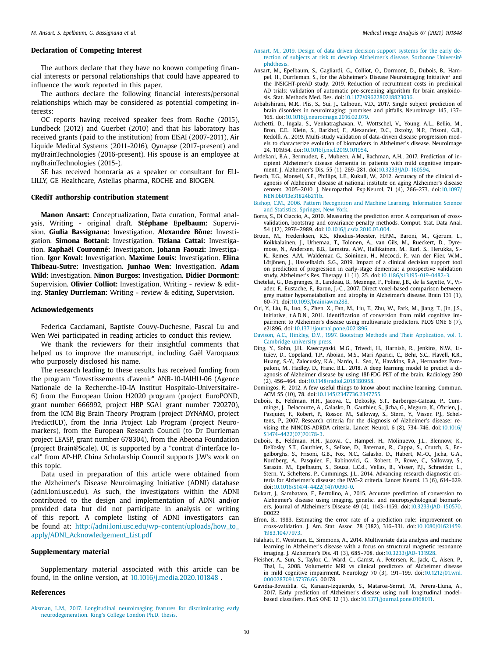#### <span id="page-9-0"></span>**Declaration of Competing Interest**

The authors declare that they have no known competing financial interests or personal relationships that could have appeared to influence the work reported in this paper.

The authors declare the following financial interests/personal relationships which may be considered as potential competing interests:

OC reports having received speaker fees from Roche (2015), Lundbeck (2012) and Guerbet (2010) and that his laboratory has received grants (paid to the institution) from EISAI (2007-2011), Air Liquide Medical Systems (2011-2016), Qynapse (2017-present) and myBrainTechnologies (2016-present). His spouse is an employee at myBrainTechnologies (2015-).

SE has received honoraria as a speaker or consultant for ELI-LILLY, GE Healthcare, Astellas pharma, ROCHE and BIOGEN.

#### **CRediT authorship contribution statement**

**Manon Ansart:** Conceptualization, Data curation, Formal analysis, Writing - original draft. **Stéphane Epelbaum:** Supervision. **Giulia Bassignana:** Investigation. **Alexandre Bône:** Investigation. **Simona Bottani:** Investigation. **Tiziana Cattai:** Investigation. **Raphaël Couronné:** Investigation. **Johann Faouzi:** Investigation. **Igor Koval:** Investigation. **Maxime Louis:** Investigation. **Elina Thibeau-Sutre:** Investigation. **Junhao Wen:** Investigation. **Adam Wild:** Investigation. **Ninon Burgos:** Investigation. **Didier Dormont:** Supervision. **Olivier Colliot:** Investigation, Writing - review & editing. **Stanley Durrleman:** Writing - review & editing, Supervision.

#### **Acknowledgements**

Federica Cacciamani, Baptiste Couvy-Duchesne, Pascal Lu and Wen Wei participated in reading articles to conduct this review.

We thank the reviewers for their insightful comments that helped us to improve the manuscript, including Gaël Varoquaux who purposely disclosed his name.

The research leading to these results has received funding from the program "Investissements d'avenir" ANR-10-IAIHU-06 (Agence Nationale de la Recherche-10-IA Institut Hospitalo-Universitaire-6) from the European Union H2020 program (project EuroPOND, grant number 666992, project HBP SGA1 grant number 720270), from the ICM Big Brain Theory Program (project DYNAMO, project PredictICD), from the Inria Project Lab Program (project Neuromarkers), from the European Research Council (to Dr Durrleman project LEASP, grant number 678304), from the Abeona Foundation (project Brain@Scale). OC is supported by a "contrat d'interface local" from AP-HP. China Scholarship Council supports J.W's work on this topic.

Data used in preparation of this article were obtained from the Alzheimer's Disease Neuroimaging Initiative (ADNI) database (adni.loni.usc.edu). As such, the investigators within the ADNI contributed to the design and implementation of ADNI and/or provided data but did not participate in analysis or writing of this report. A complete listing of ADNI investigators can be found at: [http://adni.loni.usc.edu/wp-content/uploads/how\\_to\\_](http://adni.loni.usc.edu/wp-content/uploads/how_to_apply/ADNI_Acknowledgement_List.pdf) apply/ADNI\_Acknowledgement\_List.pdf

## **Supplementary material**

Supplementary material associated with this article can be found, in the online version, at [10.1016/j.media.2020.101848](https://doi.org/10.1016/j.media.2020.101848) .

#### **References**

[Aksman,](http://refhub.elsevier.com/S1361-8415(20)30212-7/sbref0001) L.M., 2017. Longitudinal neuroimaging features for discriminating early [neurodegeneration.](http://refhub.elsevier.com/S1361-8415(20)30212-7/sbref0001) King's College London Ph.D. thesis.

- [Ansart,](http://refhub.elsevier.com/S1361-8415(20)30212-7/sbref0002) M., 2019. Design of data driven decision support systems for the early detection of subjects at risk to develop [Alzheimer's](http://refhub.elsevier.com/S1361-8415(20)30212-7/sbref0002) disease. Sorbonne Université phdthesis.
- Ansart, M., Epelbaum, S., Gagliardi, G., Colliot, O., Dormont, D., Dubois, B., Hampel, H., Durrleman, S., for the Alzheimer's Disease Neuroimaging Initiative<sup>∗</sup> and the INSIGHT-preAD study, 2019. Reduction of recruitment costs in preclinical AD trials: validation of automatic pre-screening algorithm for brain amyloidosis. Stat. Methods Med. Res. doi[:10.1177/0962280218823036.](https://doi.org/10.1177/0962280218823036)
- Arbabshirani, M.R., Plis, S., Sui, J., Calhoun, V.D., 2017. Single subject prediction of brain disorders in neuroimaging: promises and pitfalls. NeuroImage 145, 137– 165. doi[:10.1016/j.neuroimage.2016.02.079.](https://doi.org/10.1016/j.neuroimage.2016.02.079)
- Archetti, D., Ingala, S., Venkatraghavan, V., Wottschel, V., Young, A.L., Bellio, M., Bron, E.E., Klein, S., Barkhof, F., Alexander, D.C., Oxtoby, N.P., Frisoni, G.B., Redolfi, A., 2019. Multi-study validation of data-driven disease progression models to characterize evolution of biomarkers in Alzheimer's disease. NeuroImage 24, 101954. doi[:10.1016/j.nicl.2019.101954.](https://doi.org/10.1016/j.nicl.2019.101954)
- Ardekani, B.A., Bermudez, E., Mubeen, A.M., Bachman, A.H., 2017. Prediction of incipient Alzheimer's disease dementia in patients with mild cognitive impairment. J. Alzheimer's Dis. 55 (1), 269–281. doi[:10.3233/JAD-160594.](https://doi.org/10.3233/JAD-160594)
- Beach, T.G., Monsell, S.E., Phillips, L.E., Kukull, W., 2012. Accuracy of the clinical diagnosis of Alzheimer disease at national institute on aging Alzheimer's disease centers, 2005–2010. J. Neuropathol. Exp.Neurol. 71 (4), 266–273. doi:10.1097/ [NEN.0b013e31824b211b.](https://doi.org/10.1097/NEN.0b013e31824b211b)
- [Bishop,](http://refhub.elsevier.com/S1361-8415(20)30212-7/sbref0008) C.M., 2006. Pattern Recognition and Machine Learning. [Information](http://refhub.elsevier.com/S1361-8415(20)30212-7/sbref0008) Science and Statistics. Springer, New York.
- Borra, S., Di Ciaccio, A., 2010. Measuring the prediction error. A comparison of crossvalidation, bootstrap and covariance penalty methods. Comput. Stat. Data Anal. 54 (12), 2976–2989. doi[:10.1016/j.csda.2010.03.004.](https://doi.org/10.1016/j.csda.2010.03.004)
- Bruun, M., Frederiksen, K.S., Rhodius-Meester, H.F.M., Baroni, M., Gjerum, L., Koikkalainen, J., Urhemaa, T., Tolonen, A., van Gils, M., Rueckert, D., Dyremose, N., Andersen, B.B., Lemstra, A.W., Hallikainen, M., Kurl, S., Herukka, S.- K., Remes, A.M., Waldemar, G., Soininen, H., Mecocci, P., van der Flier, W.M., Lötjönen, J., Hasselbalch, S.G., 2019. Impact of a clinical decision support tool on prediction of progression in early-stage dementia: a prospective validation study. Alzheimer's Res. Therapy 11 (1), 25. doi[:10.1186/s13195-019-0482-3.](https://doi.org/10.1186/s13195-019-0482-3)
- Chetelat, G., Desgranges, B., Landeau, B., Mezenge, F., Poline, J.B., de la Sayette, V., Viader, F., Eustache, F., Baron, J.-C., 2007. Direct voxel-based comparison between grey matter hypometabolism and atrophy in Alzheimer's disease. Brain 131 (1), 60–71. doi[:10.1093/brain/awm288.](https://doi.org/10.1093/brain/awm288)
- Cui, Y., Liu, B., Luo, S., Zhen, X., Fan, M., Liu, T., Zhu, W., Park, M., Jiang, T., Jin, J.S., Initiative, t.A.D.N., 2011. Identification of conversion from mild cognitive impairment to Alzheimer's disease using multivariate predictors. PLOS ONE 6 (7), e21896. doi[:10.1371/journal.pone.0021896.](https://doi.org/10.1371/journal.pone.0021896)
- [Davison,](http://refhub.elsevier.com/S1361-8415(20)30212-7/sbref0013) A.C., [Hinkley,](http://refhub.elsevier.com/S1361-8415(20)30212-7/sbref0013) D.V., 1997. Bootstrap Methods and Their [Application,](http://refhub.elsevier.com/S1361-8415(20)30212-7/sbref0013) vol. 1. Cambridge university press.
- Ding, Y., Sohn, J.H., Kawczynski, M.G., Trivedi, H., Harnish, R., Jenkins, N.W., Lituiev, D., Copeland, T.P., Aboian, M.S., Mari Aparici, C., Behr, S.C., Flavell, R.R., Huang, S.-Y., Zalocusky, K.A., Nardo, L., Seo, Y., Hawkins, R.A., Hernandez Pampaloni, M., Hadley, D., Franc, B.L., 2018. A deep learning model to predict a diagnosis of Alzheimer disease by using 18f-FDG PET of the brain. Radiology 290 (2), 456–464. doi[:10.1148/radiol.2018180958.](https://doi.org/10.1148/radiol.2018180958)
- Domingos, P., 2012. A few useful things to know about machine learning. Commun. ACM 55 (10), 78. doi[:10.1145/2347736.2347755.](https://doi.org/10.1145/2347736.2347755)
- Dubois, B., Feldman, H.H., Jacova, C., Dekosky, S.T., Barberger-Gateau, P., Cummings, J., Delacourte, A., Galasko, D., Gauthier, S., Jicha, G., Meguro, K., O'brien, J., Pasquier, F., Robert, P., Rossor, M., Salloway, S., Stern, Y., Visser, P.J., Scheltens, P., 2007. Research criteria for the diagnosis of Alzheimer's disease: revising the NINCDS-ADRDA criteria. Lancet Neurol. 6 (8), 734–746. doi:10.1016/ [S1474-4422\(07\)70178-3.](https://doi.org/10.1016/S1474-4422(07)70178-3)
- Dubois, B., Feldman, H.H., Jacova, C., Hampel, H., Molinuevo, J.L., Blennow, K., DeKosky, S.T., Gauthier, S., Selkoe, D., Bateman, R., Cappa, S., Crutch, S., Engelborghs, S., Frisoni, G.B., Fox, N.C., Galasko, D., Habert, M.-O., Jicha, G.A., Nordberg, A., Pasquier, F., Rabinovici, G., Robert, P., Rowe, C., Salloway, S., Sarazin, M., Epelbaum, S., Souza, L.C.d., Vellas, B., Visser, P.J., Schneider, L., Stern, Y., Scheltens, P., Cummings, J.L., 2014. Advancing research diagnostic criteria for Alzheimer's disease: the IWG-2 criteria. Lancet Neurol. 13 (6), 614–629. doi[:10.1016/S1474-4422\(14\)70090-0.](https://doi.org/10.1016/S1474-4422(14)70090-0)
- Dukart, J., Sambataro, F., Bertolino, A., 2015. Accurate prediction of conversion to Alzheimer's disease using imaging, genetic, and neuropsychological biomarkers. Journal of Alzheimer's Disease 49 (4), 1143–1159. doi[:10.3233/JAD-150570.](https://doi.org/10.3233/JAD-150570) 00022
- Efron, B., 1983. Estimating the error rate of a prediction rule: improvement on cross-validation. J. Am. Stat. Assoc. 78 (382), 316–331. [doi:10.1080/01621459.](https://doi.org/10.1080/01621459.1983.10477973) 1983.10477973.
- Falahati, F., Westman, E., Simmons, A., 2014. Multivariate data analysis and machine learning in Alzheimer's disease with a focus on structural magnetic resonance imaging. J. Alzheimer's Dis. 41 (3), 685–708. doi[:10.3233/JAD-131928.](https://doi.org/10.3233/JAD-131928)
- Fleisher, A., Sun, S., Taylor, C., Ward, C., Gamst, A., Petersen, R., Jack, C., Aisen, P., Thal, L., 2008. Volumetric MRI vs clinical predictors of Alzheimer disease in mild cognitive impairment. Neurology 70 (3), 191–199. doi:10.1212/01.wnl. [0000287091.57376.65.](https://doi.org/10.1212/01.wnl.0000287091.57376.65) 00178
- Gavidia-Bovadilla, G., Kanaan-Izquierdo, S., Mataroa-Serrat, M., Perera-Lluna, A., 2017. Early prediction of Alzheimer's disease using null longitudinal modelbased classifiers. PLoS ONE 12 (1). doi[:10.1371/journal.pone.0168011.](https://doi.org/10.1371/journal.pone.0168011)